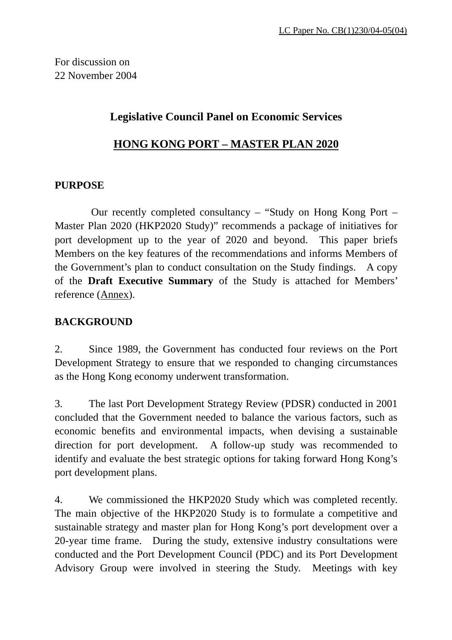For discussion on 22 November 2004

### **Legislative Council Panel on Economic Services**

### **HONG KONG PORT – MASTER PLAN 2020**

### **PURPOSE**

 Our recently completed consultancy – "Study on Hong Kong Port – Master Plan 2020 (HKP2020 Study)" recommends a package of initiatives for port development up to the year of 2020 and beyond. This paper briefs Members on the key features of the recommendations and informs Members of the Government's plan to conduct consultation on the Study findings. A copy of the **Draft Executive Summary** of the Study is attached for Members' reference (Annex).

### **BACKGROUND**

2. Since 1989, the Government has conducted four reviews on the Port Development Strategy to ensure that we responded to changing circumstances as the Hong Kong economy underwent transformation.

3. The last Port Development Strategy Review (PDSR) conducted in 2001 concluded that the Government needed to balance the various factors, such as economic benefits and environmental impacts, when devising a sustainable direction for port development. A follow-up study was recommended to identify and evaluate the best strategic options for taking forward Hong Kong's port development plans.

4. We commissioned the HKP2020 Study which was completed recently. The main objective of the HKP2020 Study is to formulate a competitive and sustainable strategy and master plan for Hong Kong's port development over a 20-year time frame. During the study, extensive industry consultations were conducted and the Port Development Council (PDC) and its Port Development Advisory Group were involved in steering the Study. Meetings with key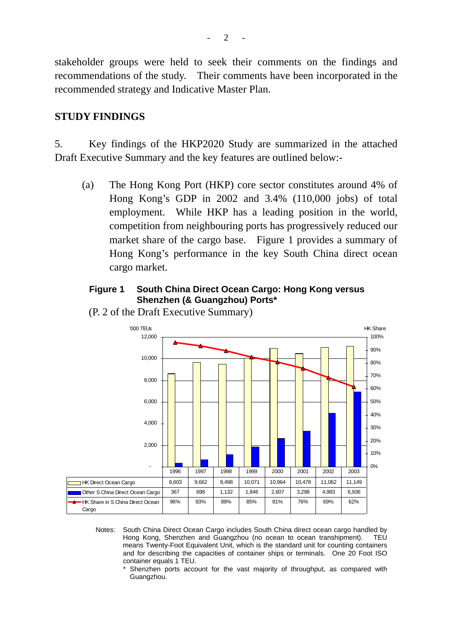stakeholder groups were held to seek their comments on the findings and recommendations of the study. Their comments have been incorporated in the recommended strategy and Indicative Master Plan.

### **STUDY FINDINGS**

5. Key findings of the HKP2020 Study are summarized in the attached Draft Executive Summary and the key features are outlined below:-

(a) The Hong Kong Port (HKP) core sector constitutes around 4% of Hong Kong's GDP in 2002 and 3.4% (110,000 jobs) of total employment. While HKP has a leading position in the world, competition from neighbouring ports has progressively reduced our market share of the cargo base. Figure 1 provides a summary of Hong Kong's performance in the key South China direct ocean cargo market.

### **Figure 1 South China Direct Ocean Cargo: Hong Kong versus Shenzhen (& Guangzhou) Ports\***



(P. 2 of the Draft Executive Summary)

- Notes: South China Direct Ocean Cargo includes South China direct ocean cargo handled by Hong Kong, Shenzhen and Guangzhou (no ocean to ocean transhipment). TEU means Twenty-Foot Equivalent Unit, which is the standard unit for counting containers and for describing the capacities of container ships or terminals. One 20 Foot ISO container equals 1 TEU.
	- Shenzhen ports account for the vast majority of throughput, as compared with Guangzhou.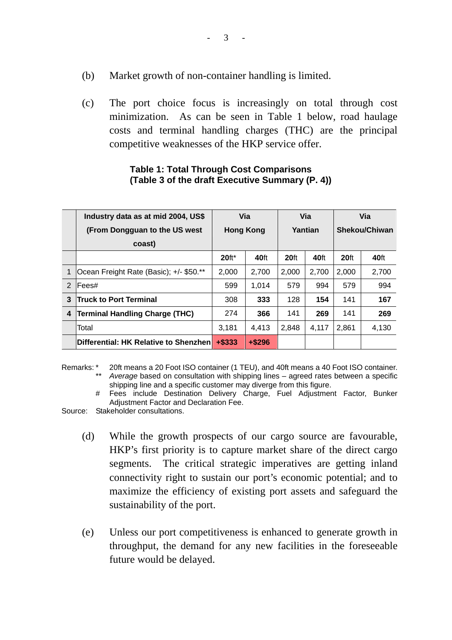- (b) Market growth of non-container handling is limited.
- (c) The port choice focus is increasingly on total through cost minimization. As can be seen in Table 1 below, road haulage costs and terminal handling charges (THC) are the principal competitive weaknesses of the HKP service offer.

|   | Industry data as at mid 2004, US\$      |                  | Via       |                  | Via   |                  | Via   |
|---|-----------------------------------------|------------------|-----------|------------------|-------|------------------|-------|
|   | (From Dongguan to the US west)          | <b>Hong Kong</b> |           | Yantian          |       | Shekou/Chiwan    |       |
|   | coast)                                  |                  |           |                  |       |                  |       |
|   |                                         | $20$ ft*         | 40ft      | 20 <sup>ft</sup> | 40ft  | 20 <sup>ft</sup> | 40ft  |
| 1 | Ocean Freight Rate (Basic); +/- \$50.** | 2.000            | 2,700     | 2,000            | 2,700 | 2.000            | 2,700 |
| 2 | Fees#                                   | 599              | 1.014     | 579              | 994   | 579              | 994   |
| 3 | <b>Truck to Port Terminal</b>           | 308              | 333       | 128              | 154   | 141              | 167   |
| 4 | <b>Terminal Handling Charge (THC)</b>   | 274              | 366       | 141              | 269   | 141              | 269   |
|   | Total                                   | 3,181            | 4.413     | 2.848            | 4.117 | 2.861            | 4,130 |
|   | Differential: HK Relative to Shenzhen   | $+$ \$333        | $+$ \$296 |                  |       |                  |       |

#### **Table 1: Total Through Cost Comparisons (Table 3 of the draft Executive Summary (P. 4))**

- Remarks: \* 20ft means a 20 Foot ISO container (1 TEU), and 40ft means a 40 Foot ISO container. Average based on consultation with shipping lines – agreed rates between a specific shipping line and a specific customer may diverge from this figure.
	- Fees include Destination Delivery Charge, Fuel Adjustment Factor, Bunker Adjustment Factor and Declaration Fee.

Source: Stakeholder consultations.

- (d) While the growth prospects of our cargo source are favourable, HKP's first priority is to capture market share of the direct cargo segments. The critical strategic imperatives are getting inland connectivity right to sustain our port's economic potential; and to maximize the efficiency of existing port assets and safeguard the sustainability of the port.
- (e) Unless our port competitiveness is enhanced to generate growth in throughput, the demand for any new facilities in the foreseeable future would be delayed.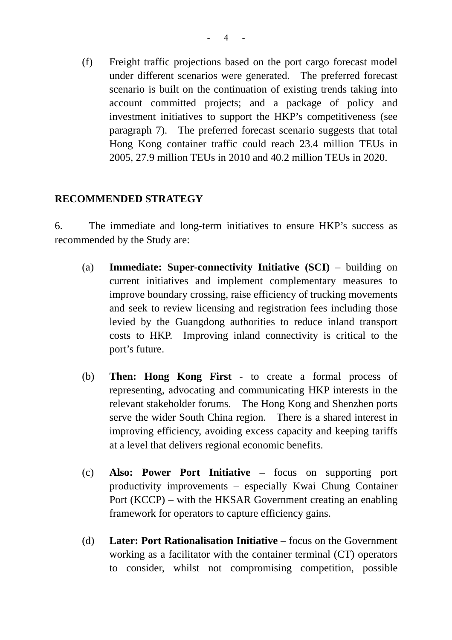(f) Freight traffic projections based on the port cargo forecast model under different scenarios were generated. The preferred forecast scenario is built on the continuation of existing trends taking into account committed projects; and a package of policy and investment initiatives to support the HKP's competitiveness (see paragraph 7). The preferred forecast scenario suggests that total Hong Kong container traffic could reach 23.4 million TEUs in 2005, 27.9 million TEUs in 2010 and 40.2 million TEUs in 2020.

### **RECOMMENDED STRATEGY**

6. The immediate and long-term initiatives to ensure HKP's success as recommended by the Study are:

- (a) **Immediate: Super-connectivity Initiative (SCI)** building on current initiatives and implement complementary measures to improve boundary crossing, raise efficiency of trucking movements and seek to review licensing and registration fees including those levied by the Guangdong authorities to reduce inland transport costs to HKP. Improving inland connectivity is critical to the port's future.
- (b) **Then: Hong Kong First** to create a formal process of representing, advocating and communicating HKP interests in the relevant stakeholder forums. The Hong Kong and Shenzhen ports serve the wider South China region. There is a shared interest in improving efficiency, avoiding excess capacity and keeping tariffs at a level that delivers regional economic benefits.
- (c) **Also: Power Port Initiative** focus on supporting port productivity improvements – especially Kwai Chung Container Port (KCCP) – with the HKSAR Government creating an enabling framework for operators to capture efficiency gains.
- (d) **Later: Port Rationalisation Initiative** focus on the Government working as a facilitator with the container terminal (CT) operators to consider, whilst not compromising competition, possible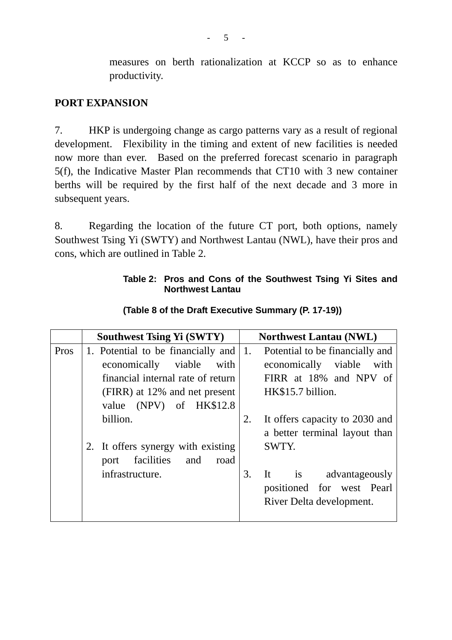measures on berth rationalization at KCCP so as to enhance productivity.

### **PORT EXPANSION**

7. HKP is undergoing change as cargo patterns vary as a result of regional development. Flexibility in the timing and extent of new facilities is needed now more than ever. Based on the preferred forecast scenario in paragraph 5(f), the Indicative Master Plan recommends that CT10 with 3 new container berths will be required by the first half of the next decade and 3 more in subsequent years.

8. Regarding the location of the future CT port, both options, namely Southwest Tsing Yi (SWTY) and Northwest Lantau (NWL), have their pros and cons, which are outlined in Table 2.

### **Table 2: Pros and Cons of the Southwest Tsing Yi Sites and Northwest Lantau**

|      | <b>Southwest Tsing Yi (SWTY)</b>          | <b>Northwest Lantau (NWL)</b>        |
|------|-------------------------------------------|--------------------------------------|
| Pros | 1. Potential to be financially and $ 1$ . | Potential to be financially and      |
|      | economically<br>viable with               | economically viable<br>with          |
|      | financial internal rate of return         | FIRR at 18% and NPV of               |
|      | (FIRR) at 12% and net present             | HK\$15.7 billion.                    |
|      | value (NPV) of HK\$12.8                   |                                      |
|      | billion.                                  | It offers capacity to 2030 and<br>2. |
|      |                                           | a better terminal layout than        |
|      | 2. It offers synergy with existing        | SWTY.                                |
|      | facilities<br>and<br>road<br>port         |                                      |
|      | infrastructure.                           | It is advantageously<br>3.           |
|      |                                           | positioned for west Pearl            |
|      |                                           | River Delta development.             |
|      |                                           |                                      |

**(Table 8 of the Draft Executive Summary (P. 17-19))**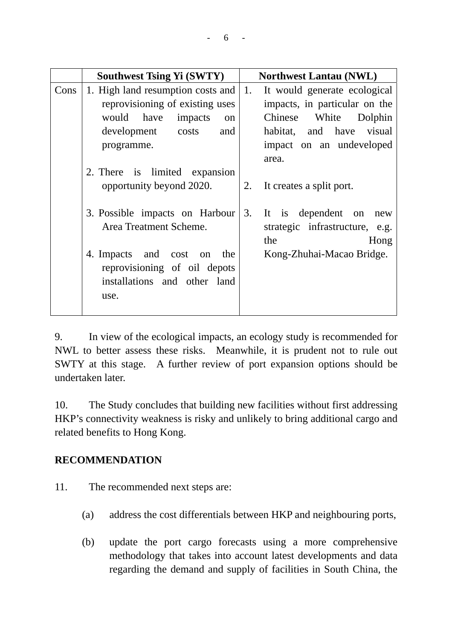|      | <b>Southwest Tsing Yi (SWTY)</b>                                                                   | <b>Northwest Lantau (NWL)</b>                                                       |
|------|----------------------------------------------------------------------------------------------------|-------------------------------------------------------------------------------------|
| Cons | 1. High land resumption costs and 1.                                                               | It would generate ecological                                                        |
|      | reprovisioning of existing uses                                                                    | impacts, in particular on the                                                       |
|      | would have impacts<br>on                                                                           | White<br>Chinese<br>Dolphin                                                         |
|      | development<br>costs<br>and                                                                        | habitat, and have visual                                                            |
|      | programme.                                                                                         | impact on an undeveloped                                                            |
|      |                                                                                                    | area.                                                                               |
|      | 2. There is limited expansion                                                                      |                                                                                     |
|      | opportunity beyond 2020.                                                                           | It creates a split port.<br>2.                                                      |
|      | 3. Possible impacts on Harbour<br>Area Treatment Scheme.                                           | 3.<br>It is dependent<br>on<br>new<br>strategic infrastructure, e.g.<br>the<br>Hong |
|      | 4. Impacts and cost on the<br>reprovisioning of oil depots<br>installations and other land<br>use. | Kong-Zhuhai-Macao Bridge.                                                           |
|      |                                                                                                    |                                                                                     |

9. In view of the ecological impacts, an ecology study is recommended for NWL to better assess these risks. Meanwhile, it is prudent not to rule out SWTY at this stage. A further review of port expansion options should be undertaken later.

10. The Study concludes that building new facilities without first addressing HKP's connectivity weakness is risky and unlikely to bring additional cargo and related benefits to Hong Kong.

### **RECOMMENDATION**

- 11. The recommended next steps are:
	- (a) address the cost differentials between HKP and neighbouring ports,
	- (b) update the port cargo forecasts using a more comprehensive methodology that takes into account latest developments and data regarding the demand and supply of facilities in South China, the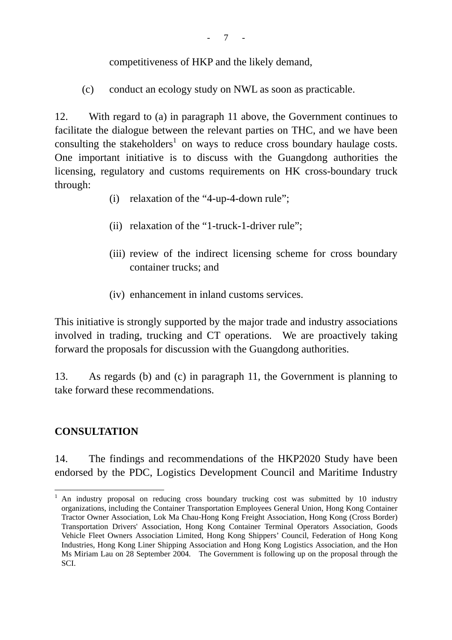competitiveness of HKP and the likely demand,

(c) conduct an ecology study on NWL as soon as practicable.

12. With regard to (a) in paragraph 11 above, the Government continues to facilitate the dialogue between the relevant parties on THC, and we have been consulting the stakeholders<sup>1</sup> on ways to reduce cross boundary haulage costs. One important initiative is to discuss with the Guangdong authorities the licensing, regulatory and customs requirements on HK cross-boundary truck through:

- (i) relaxation of the "4-up-4-down rule";
- (ii) relaxation of the "1-truck-1-driver rule";
- (iii) review of the indirect licensing scheme for cross boundary container trucks; and
- (iv) enhancement in inland customs services.

This initiative is strongly supported by the major trade and industry associations involved in trading, trucking and CT operations. We are proactively taking forward the proposals for discussion with the Guangdong authorities.

13. As regards (b) and (c) in paragraph 11, the Government is planning to take forward these recommendations.

### **CONSULTATION**

14. The findings and recommendations of the HKP2020 Study have been endorsed by the PDC, Logistics Development Council and Maritime Industry

 $\overline{a}$ <sup>1</sup> An industry proposal on reducing cross boundary trucking cost was submitted by 10 industry organizations, including the Container Transportation Employees General Union, Hong Kong Container Tractor Owner Association, Lok Ma Chau-Hong Kong Freight Association, Hong Kong (Cross Border) Transportation Drivers' Association, Hong Kong Container Terminal Operators Association, Goods Vehicle Fleet Owners Association Limited, Hong Kong Shippers' Council, Federation of Hong Kong Industries, Hong Kong Liner Shipping Association and Hong Kong Logistics Association, and the Hon Ms Miriam Lau on 28 September 2004. The Government is following up on the proposal through the SCI.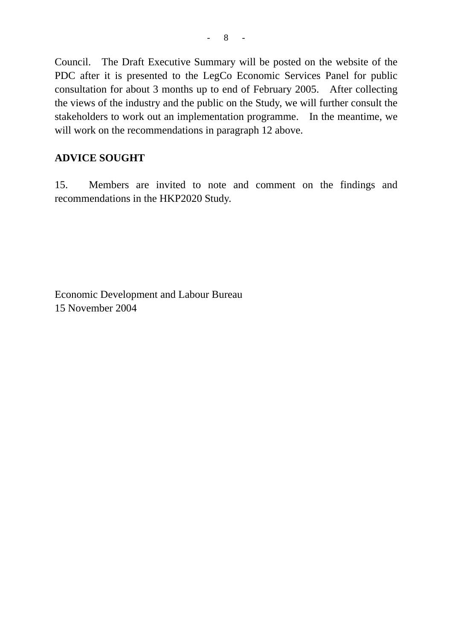Council. The Draft Executive Summary will be posted on the website of the PDC after it is presented to the LegCo Economic Services Panel for public consultation for about 3 months up to end of February 2005. After collecting the views of the industry and the public on the Study, we will further consult the stakeholders to work out an implementation programme. In the meantime, we will work on the recommendations in paragraph 12 above.

### **ADVICE SOUGHT**

15. Members are invited to note and comment on the findings and recommendations in the HKP2020 Study.

Economic Development and Labour Bureau 15 November 2004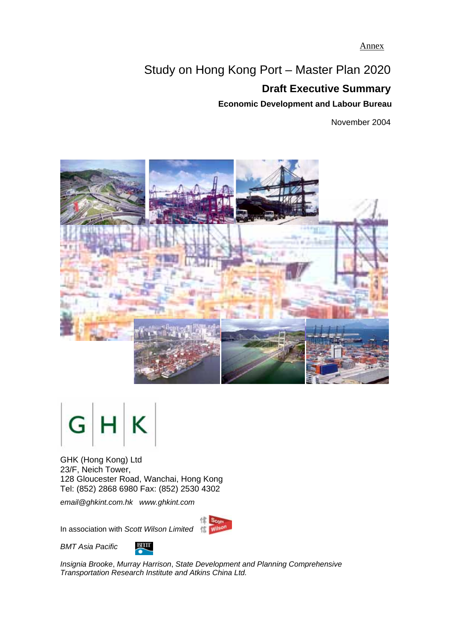Annex

# Study on Hong Kong Port – Master Plan 2020

# **Draft Executive Summary**

**Economic Development and Labour Bureau** 

November 2004





GHK (Hong Kong) Ltd 23/F, Neich Tower, 128 Gloucester Road, Wanchai, Hong Kong Tel: (852) 2868 6980 Fax: (852) 2530 4302

*email@ghkint.com.hk www.ghkint.com* 

In association with *Scott Wilson Limited*



*BMT Asia Pacific* 



*Insignia Brooke*, *Murray Harrison*, *State Development and Planning Comprehensive Transportation Research Institute and Atkins China Ltd.*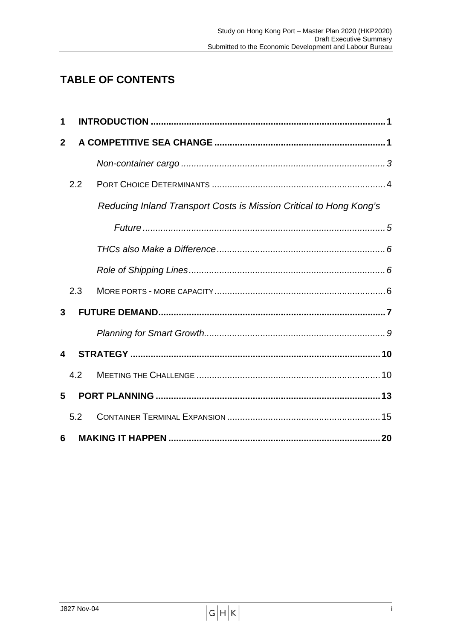# **TABLE OF CONTENTS**

| 1            |     |                                                                    |  |
|--------------|-----|--------------------------------------------------------------------|--|
| $\mathbf{2}$ |     |                                                                    |  |
|              |     |                                                                    |  |
|              | 2.2 |                                                                    |  |
|              |     | Reducing Inland Transport Costs is Mission Critical to Hong Kong's |  |
|              |     |                                                                    |  |
|              |     |                                                                    |  |
|              |     |                                                                    |  |
|              | 2.3 |                                                                    |  |
| 3            |     |                                                                    |  |
|              |     |                                                                    |  |
| 4            |     |                                                                    |  |
|              | 4.2 |                                                                    |  |
| 5            |     |                                                                    |  |
|              | 5.2 |                                                                    |  |
| 6            |     |                                                                    |  |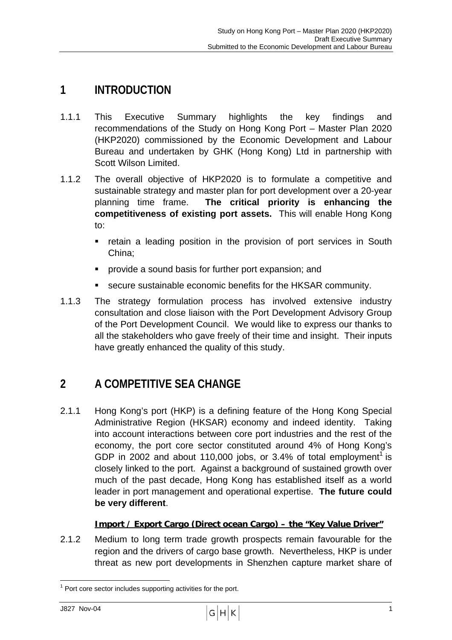# **1 INTRODUCTION**

- 1.1.1 This Executive Summary highlights the key findings and recommendations of the Study on Hong Kong Port – Master Plan 2020 (HKP2020) commissioned by the Economic Development and Labour Bureau and undertaken by GHK (Hong Kong) Ltd in partnership with Scott Wilson Limited.
- 1.1.2 The overall objective of HKP2020 is to formulate a competitive and sustainable strategy and master plan for port development over a 20-year planning time frame. **The critical priority is enhancing the competitiveness of existing port assets.** This will enable Hong Kong to:
	- retain a leading position in the provision of port services in South China;
	- ! provide a sound basis for further port expansion; and
	- **EXECUTE SUSTAINABLE ECONOMIC benefits for the HKSAR community.**
- 1.1.3 The strategy formulation process has involved extensive industry consultation and close liaison with the Port Development Advisory Group of the Port Development Council. We would like to express our thanks to all the stakeholders who gave freely of their time and insight. Their inputs have greatly enhanced the quality of this study.

# **2 A COMPETITIVE SEA CHANGE**

2.1.1 Hong Kong's port (HKP) is a defining feature of the Hong Kong Special Administrative Region (HKSAR) economy and indeed identity. Taking into account interactions between core port industries and the rest of the economy, the port core sector constituted around 4% of Hong Kong's GDP in 2002 and about 110,000 jobs, or 3.4% of total employment<sup>1</sup> is closely linked to the port. Against a background of sustained growth over much of the past decade, Hong Kong has established itself as a world leader in port management and operational expertise. **The future could be very different**.

### **Import / Export Cargo (Direct ocean Cargo) – the "Key Value Driver"**

2.1.2 Medium to long term trade growth prospects remain favourable for the region and the drivers of cargo base growth. Nevertheless, HKP is under threat as new port developments in Shenzhen capture market share of

 $\overline{a}$  $1$  Port core sector includes supporting activities for the port.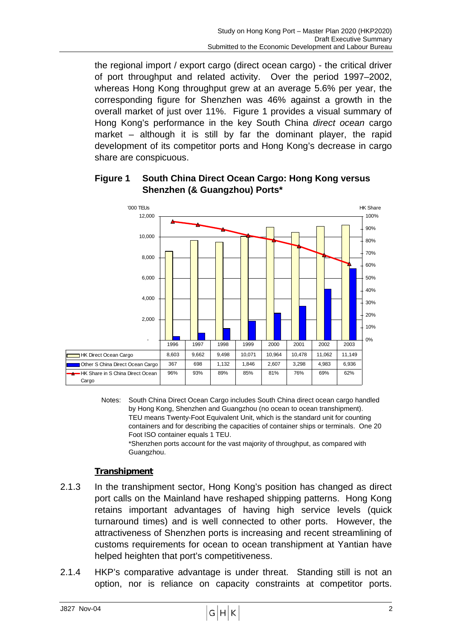the regional import / export cargo (direct ocean cargo) - the critical driver of port throughput and related activity. Over the period 1997–2002, whereas Hong Kong throughput grew at an average 5.6% per year, the corresponding figure for Shenzhen was 46% against a growth in the overall market of just over 11%. Figure 1 provides a visual summary of Hong Kong's performance in the key South China *direct ocean* cargo market – although it is still by far the dominant player, the rapid development of its competitor ports and Hong Kong's decrease in cargo share are conspicuous.

### **Figure 1 South China Direct Ocean Cargo: Hong Kong versus Shenzhen (& Guangzhou) Ports\***



Notes: South China Direct Ocean Cargo includes South China direct ocean cargo handled by Hong Kong, Shenzhen and Guangzhou (no ocean to ocean transhipment). TEU means Twenty-Foot Equivalent Unit, which is the standard unit for counting containers and for describing the capacities of container ships or terminals. One 20 Foot ISO container equals 1 TEU.

 \*Shenzhen ports account for the vast majority of throughput, as compared with Guangzhou.

### **Transhipment**

- 2.1.3 In the transhipment sector, Hong Kong's position has changed as direct port calls on the Mainland have reshaped shipping patterns. Hong Kong retains important advantages of having high service levels (quick turnaround times) and is well connected to other ports. However, the attractiveness of Shenzhen ports is increasing and recent streamlining of customs requirements for ocean to ocean transhipment at Yantian have helped heighten that port's competitiveness.
- 2.1.4 HKP's comparative advantage is under threat. Standing still is not an option, nor is reliance on capacity constraints at competitor ports.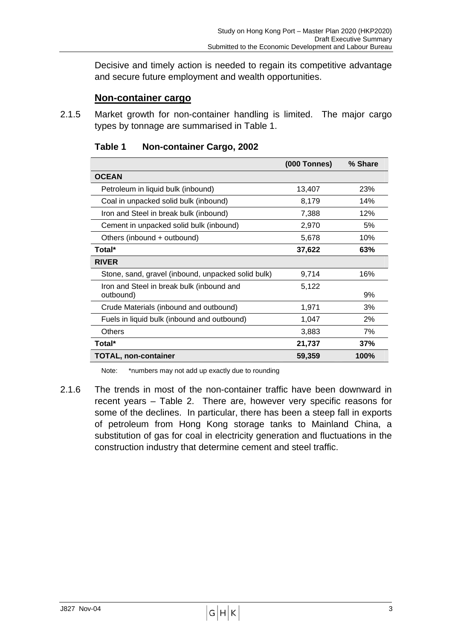Decisive and timely action is needed to regain its competitive advantage and secure future employment and wealth opportunities.

#### **Non-container cargo**

2.1.5 Market growth for non-container handling is limited. The major cargo types by tonnage are summarised in Table 1.

|                                                        | <b>(000 Tonnes)</b> | % Share |
|--------------------------------------------------------|---------------------|---------|
| <b>OCEAN</b>                                           |                     |         |
| Petroleum in liquid bulk (inbound)                     | 13,407              | 23%     |
| Coal in unpacked solid bulk (inbound)                  | 8,179               | 14%     |
| Iron and Steel in break bulk (inbound)                 | 7,388               | 12%     |
| Cement in unpacked solid bulk (inbound)                | 2,970               | 5%      |
| Others (inbound + outbound)                            | 5,678               | 10%     |
| Total*                                                 | 37,622              | 63%     |
| <b>RIVER</b>                                           |                     |         |
| Stone, sand, gravel (inbound, unpacked solid bulk)     | 9,714               | 16%     |
| Iron and Steel in break bulk (inbound and<br>outbound) | 5,122               | 9%      |
| Crude Materials (inbound and outbound)                 | 1,971               | 3%      |
| Fuels in liquid bulk (inbound and outbound)            | 1,047               | 2%      |
| <b>Others</b>                                          | 3,883               | 7%      |
| Total*                                                 | 21,737              | 37%     |
| <b>TOTAL, non-container</b>                            | 59,359              | 100%    |

| Table 1 | <b>Non-container Cargo, 2002</b> |  |  |
|---------|----------------------------------|--|--|
|---------|----------------------------------|--|--|

Note: \*numbers may not add up exactly due to rounding

2.1.6 The trends in most of the non-container traffic have been downward in recent years – Table 2. There are, however very specific reasons for some of the declines. In particular, there has been a steep fall in exports of petroleum from Hong Kong storage tanks to Mainland China, a substitution of gas for coal in electricity generation and fluctuations in the construction industry that determine cement and steel traffic.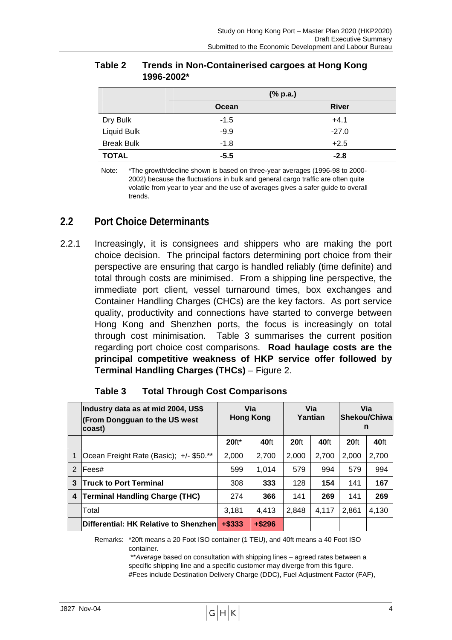|                   |        | $(% \mathbf{a})$ (% p.a.) |
|-------------------|--------|---------------------------|
|                   | Ocean  | <b>River</b>              |
| Dry Bulk          | $-1.5$ | $+4.1$                    |
| Liquid Bulk       | $-9.9$ | $-27.0$                   |
| <b>Break Bulk</b> | $-1.8$ | $+2.5$                    |
| <b>TOTAL</b>      | $-5.5$ | $-2.8$                    |

#### **Table 2 Trends in Non-Containerised cargoes at Hong Kong 1996-2002\***

Note: \*The growth/decline shown is based on three-year averages (1996-98 to 2000- 2002) because the fluctuations in bulk and general cargo traffic are often quite volatile from year to year and the use of averages gives a safer guide to overall trends.

### **2.2 Port Choice Determinants**

2.2.1 Increasingly, it is consignees and shippers who are making the port choice decision. The principal factors determining port choice from their perspective are ensuring that cargo is handled reliably (time definite) and total through costs are minimised. From a shipping line perspective, the immediate port client, vessel turnaround times, box exchanges and Container Handling Charges (CHCs) are the key factors. As port service quality, productivity and connections have started to converge between Hong Kong and Shenzhen ports, the focus is increasingly on total through cost minimisation. Table 3 summarises the current position regarding port choice cost comparisons. **Road haulage costs are the principal competitive weakness of HKP service offer followed by Terminal Handling Charges (THCs)** – Figure 2.

|               | Industry data as at mid 2004, US\$<br>(From Dongguan to the US west<br>coast) | Via<br><b>Hong Kong</b> |           | Via<br>Yantian   |       | Via<br>Shekou/Chiwa<br>n |       |
|---------------|-------------------------------------------------------------------------------|-------------------------|-----------|------------------|-------|--------------------------|-------|
|               |                                                                               | $20$ ft <sup>*</sup>    | 40ft      | 20 <sub>ft</sub> | 40ft  | 20 <sub>ft</sub>         | 40ft  |
|               | Ocean Freight Rate (Basic); +/- \$50.**                                       | 2,000                   | 2.700     | 2.000            | 2.700 | 2.000                    | 2.700 |
| $\mathcal{P}$ | lFees#                                                                        | 599                     | 1.014     | 579              | 994   | 579                      | 994   |
| 3             | <b>Truck to Port Terminal</b>                                                 | 308                     | 333       | 128              | 154   | 141                      | 167   |
| 4             | <b>Terminal Handling Charge (THC)</b>                                         | 274                     | 366       | 141              | 269   | 141                      | 269   |
|               | Total                                                                         | 3.181                   | 4.413     | 2.848            | 4.117 | 2.861                    | 4.130 |
|               | Differential: HK Relative to Shenzhen                                         | $+$ \$333               | $+$ \$296 |                  |       |                          |       |

| Table 3 |  | <b>Total Through Cost Comparisons</b> |  |
|---------|--|---------------------------------------|--|
|         |  |                                       |  |

Remarks: \*20ft means a 20 Foot ISO container (1 TEU), and 40ft means a 40 Foot ISO container.

> \*\**Average* based on consultation with shipping lines – agreed rates between a specific shipping line and a specific customer may diverge from this figure. #Fees include Destination Delivery Charge (DDC), Fuel Adjustment Factor (FAF),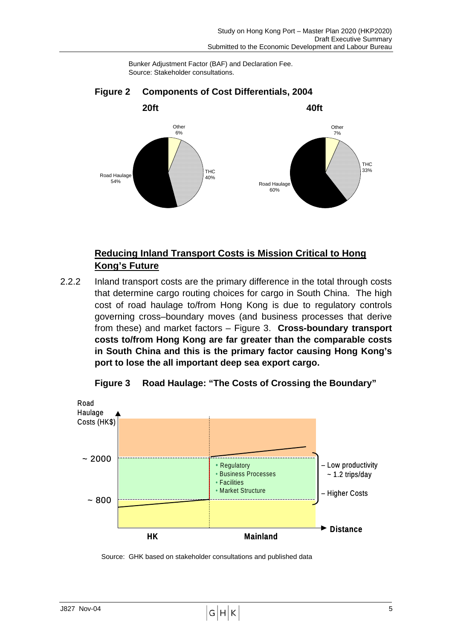Bunker Adjustment Factor (BAF) and Declaration Fee. Source: Stakeholder consultations.



### **Figure 2 Components of Cost Differentials, 2004**

### **Reducing Inland Transport Costs is Mission Critical to Hong Kong's Future**

2.2.2 Inland transport costs are the primary difference in the total through costs that determine cargo routing choices for cargo in South China. The high cost of road haulage to/from Hong Kong is due to regulatory controls governing cross–boundary moves (and business processes that derive from these) and market factors – Figure 3. **Cross-boundary transport costs to/from Hong Kong are far greater than the comparable costs in South China and this is the primary factor causing Hong Kong's port to lose the all important deep sea export cargo.** 



**Figure 3 Road Haulage: "The Costs of Crossing the Boundary"** 

Source: GHK based on stakeholder consultations and published data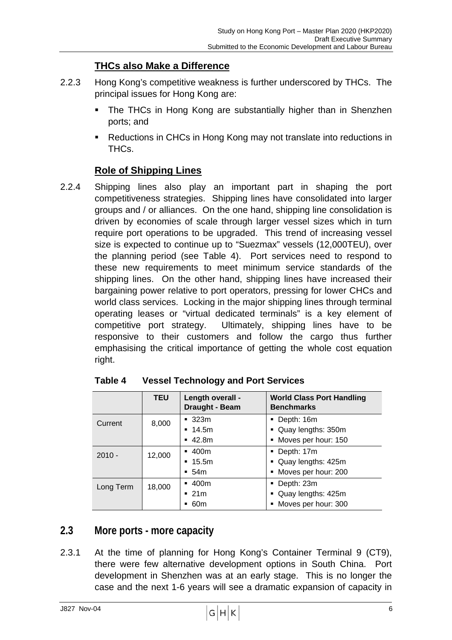### **THCs also Make a Difference**

- 2.2.3 Hong Kong's competitive weakness is further underscored by THCs. The principal issues for Hong Kong are:
	- The THCs in Hong Kong are substantially higher than in Shenzhen ports; and
	- Reductions in CHCs in Hong Kong may not translate into reductions in THCs.

### **Role of Shipping Lines**

2.2.4 Shipping lines also play an important part in shaping the port competitiveness strategies. Shipping lines have consolidated into larger groups and / or alliances. On the one hand, shipping line consolidation is driven by economies of scale through larger vessel sizes which in turn require port operations to be upgraded. This trend of increasing vessel size is expected to continue up to "Suezmax" vessels (12,000TEU), over the planning period (see Table 4). Port services need to respond to these new requirements to meet minimum service standards of the shipping lines. On the other hand, shipping lines have increased their bargaining power relative to port operators, pressing for lower CHCs and world class services. Locking in the major shipping lines through terminal operating leases or "virtual dedicated terminals" is a key element of competitive port strategy. Ultimately, shipping lines have to be responsive to their customers and follow the cargo thus further emphasising the critical importance of getting the whole cost equation right.

|           | <b>TEU</b> | Length overall -<br>Draught - Beam | <b>World Class Port Handling</b><br><b>Benchmarks</b> |
|-----------|------------|------------------------------------|-------------------------------------------------------|
| Current   | 8,000      | $-323m$                            | Depth: 16m                                            |
|           |            | $-14.5m$                           | • Quay lengths: 350m                                  |
|           |            | $-42.8m$                           | • Moves per hour: 150                                 |
| $2010 -$  | 12,000     | $-400m$                            | Depth: 17m                                            |
|           |            | $-15.5m$                           | • Quay lengths: 425m                                  |
|           |            | $-54m$                             | • Moves per hour: 200                                 |
| Long Term | 18,000     | $-400m$                            | Depth: 23m                                            |
|           |            | $-21m$                             | Quay lengths: 425m                                    |
|           |            | 60m                                | Moves per hour: 300                                   |

**Table 4 Vessel Technology and Port Services** 

### **2.3 More ports - more capacity**

2.3.1 At the time of planning for Hong Kong's Container Terminal 9 (CT9), there were few alternative development options in South China. Port development in Shenzhen was at an early stage. This is no longer the case and the next 1-6 years will see a dramatic expansion of capacity in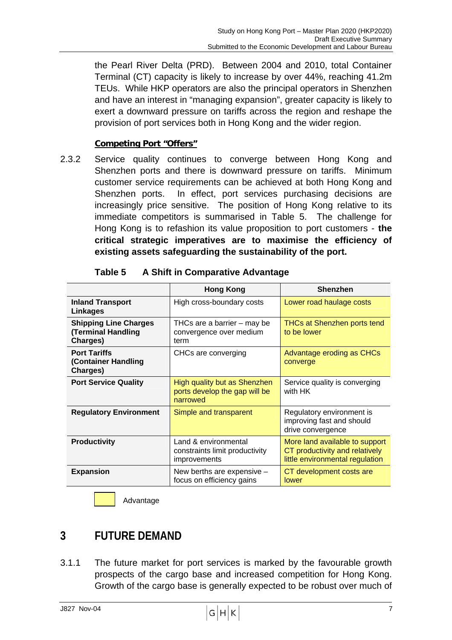the Pearl River Delta (PRD). Between 2004 and 2010, total Container Terminal (CT) capacity is likely to increase by over 44%, reaching 41.2m TEUs. While HKP operators are also the principal operators in Shenzhen and have an interest in "managing expansion", greater capacity is likely to exert a downward pressure on tariffs across the region and reshape the provision of port services both in Hong Kong and the wider region.

#### **Competing Port "Offers"**

2.3.2 Service quality continues to converge between Hong Kong and Shenzhen ports and there is downward pressure on tariffs. Minimum customer service requirements can be achieved at both Hong Kong and Shenzhen ports. In effect, port services purchasing decisions are increasingly price sensitive. The position of Hong Kong relative to its immediate competitors is summarised in Table 5. The challenge for Hong Kong is to refashion its value proposition to port customers - **the critical strategic imperatives are to maximise the efficiency of existing assets safeguarding the sustainability of the port.**

|                                                                      | <b>Hong Kong</b>                                                          | <b>Shenzhen</b>                                                                                     |
|----------------------------------------------------------------------|---------------------------------------------------------------------------|-----------------------------------------------------------------------------------------------------|
| <b>Inland Transport</b><br>Linkages                                  | High cross-boundary costs                                                 | Lower road haulage costs                                                                            |
| <b>Shipping Line Charges</b><br><b>Terminal Handling</b><br>Charges) | THCs are a barrier – may be<br>convergence over medium<br>term            | THCs at Shenzhen ports tend<br>to be lower                                                          |
| <b>Port Tariffs</b><br>(Container Handling<br>Charges)               | CHCs are converging                                                       | Advantage eroding as CHCs<br>converge                                                               |
| <b>Port Service Quality</b>                                          | High quality but as Shenzhen<br>ports develop the gap will be<br>narrowed | Service quality is converging<br>with HK                                                            |
| <b>Regulatory Environment</b>                                        | Simple and transparent                                                    | Regulatory environment is<br>improving fast and should<br>drive convergence                         |
| <b>Productivity</b>                                                  | Land & environmental<br>constraints limit productivity<br>improvements    | More land available to support<br>CT productivity and relatively<br>little environmental regulation |
| <b>Expansion</b>                                                     | New berths are expensive -<br>focus on efficiency gains                   | CT development costs are<br>lower                                                                   |

| Table 5 | A Shift in Comparative Advantage |  |
|---------|----------------------------------|--|
|         |                                  |  |

Advantage

# **3 FUTURE DEMAND**

 $\overline{a}$ 

3.1.1 The future market for port services is marked by the favourable growth prospects of the cargo base and increased competition for Hong Kong. Growth of the cargo base is generally expected to be robust over much of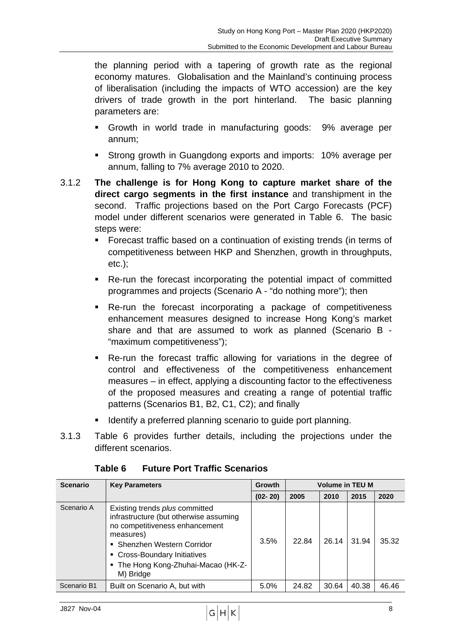the planning period with a tapering of growth rate as the regional economy matures. Globalisation and the Mainland's continuing process of liberalisation (including the impacts of WTO accession) are the key drivers of trade growth in the port hinterland. The basic planning parameters are:

- ! Growth in world trade in manufacturing goods: 9% average per annum;
- ! Strong growth in Guangdong exports and imports: 10% average per annum, falling to 7% average 2010 to 2020.
- 3.1.2 **The challenge is for Hong Kong to capture market share of the direct cargo segments in the first instance** and transhipment in the second. Traffic projections based on the Port Cargo Forecasts (PCF) model under different scenarios were generated in Table 6. The basic steps were:
	- ! Forecast traffic based on a continuation of existing trends (in terms of competitiveness between HKP and Shenzhen, growth in throughputs, etc.);
	- ! Re-run the forecast incorporating the potential impact of committed programmes and projects (Scenario A - "do nothing more"); then
	- Re-run the forecast incorporating a package of competitiveness enhancement measures designed to increase Hong Kong's market share and that are assumed to work as planned (Scenario B - "maximum competitiveness");
	- ! Re-run the forecast traffic allowing for variations in the degree of control and effectiveness of the competitiveness enhancement measures – in effect, applying a discounting factor to the effectiveness of the proposed measures and creating a range of potential traffic patterns (Scenarios B1, B2, C1, C2); and finally
	- Identify a preferred planning scenario to quide port planning.
- 3.1.3 Table 6 provides further details, including the projections under the different scenarios.

| <b>Scenario</b> | <b>Key Parameters</b>                                                                                                                                                                                                                             | <b>Growth</b> | <b>Volume in TEU M</b> |       |       |       |
|-----------------|---------------------------------------------------------------------------------------------------------------------------------------------------------------------------------------------------------------------------------------------------|---------------|------------------------|-------|-------|-------|
|                 |                                                                                                                                                                                                                                                   | $(02 - 20)$   | 2005                   | 2010  | 2015  | 2020  |
| Scenario A      | Existing trends <i>plus</i> committed<br>infrastructure (but otherwise assuming<br>no competitiveness enhancement<br>measures)<br>• Shenzhen Western Corridor<br>• Cross-Boundary Initiatives<br>• The Hong Kong-Zhuhai-Macao (HK-Z-<br>M) Bridge | 3.5%          | 22.84                  | 26.14 | 31.94 | 35.32 |
| Scenario B1     | Built on Scenario A, but with                                                                                                                                                                                                                     | 5.0%          | 24.82                  | 30.64 | 40.38 | 46.46 |

**Table 6 Future Port Traffic Scenarios**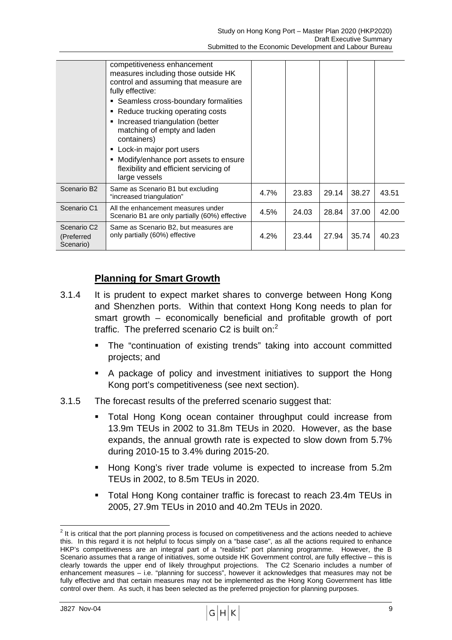|                                                    | competitiveness enhancement<br>measures including those outside HK<br>control and assuming that measure are<br>fully effective:<br>• Seamless cross-boundary formalities<br>• Reduce trucking operating costs<br>Increased triangulation (better<br>٠<br>matching of empty and laden<br>containers)<br>• Lock-in major port users<br>Modify/enhance port assets to ensure<br>flexibility and efficient servicing of<br>large vessels |      |       |       |       |       |
|----------------------------------------------------|--------------------------------------------------------------------------------------------------------------------------------------------------------------------------------------------------------------------------------------------------------------------------------------------------------------------------------------------------------------------------------------------------------------------------------------|------|-------|-------|-------|-------|
| Scenario B <sub>2</sub>                            | Same as Scenario B1 but excluding<br>"increased triangulation"                                                                                                                                                                                                                                                                                                                                                                       | 4.7% | 23.83 | 29.14 | 38.27 | 43.51 |
| Scenario C1                                        | All the enhancement measures under<br>Scenario B1 are only partially (60%) effective                                                                                                                                                                                                                                                                                                                                                 | 4.5% | 24.03 | 28.84 | 37.00 | 42.00 |
| Scenario C <sub>2</sub><br>(Preferred<br>Scenario) | Same as Scenario B2, but measures are<br>only partially (60%) effective                                                                                                                                                                                                                                                                                                                                                              | 4.2% | 23.44 | 27.94 | 35.74 | 40.23 |

### **Planning for Smart Growth**

- 3.1.4 It is prudent to expect market shares to converge between Hong Kong and Shenzhen ports. Within that context Hong Kong needs to plan for smart growth – economically beneficial and profitable growth of port traffic. The preferred scenario C2 is built on: $2$ 
	- The "continuation of existing trends" taking into account committed projects; and
	- ! A package of policy and investment initiatives to support the Hong Kong port's competitiveness (see next section).
- 3.1.5 The forecast results of the preferred scenario suggest that:
	- Total Hong Kong ocean container throughput could increase from 13.9m TEUs in 2002 to 31.8m TEUs in 2020. However, as the base expands, the annual growth rate is expected to slow down from 5.7% during 2010-15 to 3.4% during 2015-20.
	- ! Hong Kong's river trade volume is expected to increase from 5.2m TEUs in 2002, to 8.5m TEUs in 2020.
	- ! Total Hong Kong container traffic is forecast to reach 23.4m TEUs in 2005, 27.9m TEUs in 2010 and 40.2m TEUs in 2020.

 $\sim$  J827 Nov-04 9

**<sup>2</sup>**<br><sup>2</sup> It is critical that the port planning process is focused on competitiveness and the actions needed to achieve this. In this regard it is not helpful to focus simply on a "base case", as all the actions required to enhance HKP's competitiveness are an integral part of a "realistic" port planning programme. However, the B Scenario assumes that a range of initiatives, some outside HK Government control, are fully effective – this is clearly towards the upper end of likely throughput projections. The C2 Scenario includes a number of enhancement measures – i.e. "planning for success", however it acknowledges that measures may not be fully effective and that certain measures may not be implemented as the Hong Kong Government has little control over them. As such, it has been selected as the preferred projection for planning purposes.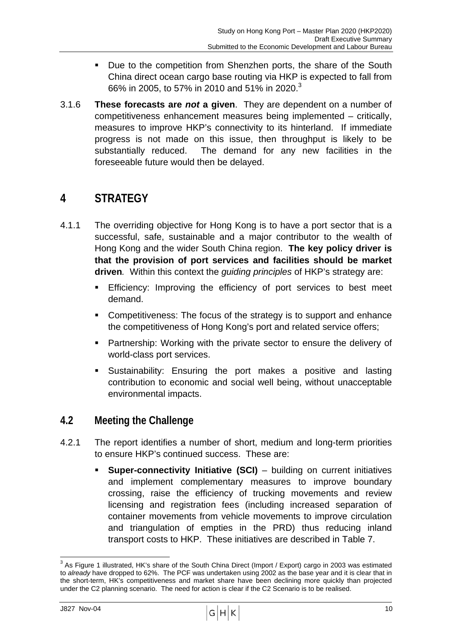- ! Due to the competition from Shenzhen ports, the share of the South China direct ocean cargo base routing via HKP is expected to fall from 66% in 2005, to 57% in 2010 and 51% in 2020.<sup>3</sup>
- 3.1.6 **These forecasts are** *not* **a given**. They are dependent on a number of competitiveness enhancement measures being implemented – critically, measures to improve HKP's connectivity to its hinterland. If immediate progress is not made on this issue, then throughput is likely to be substantially reduced. The demand for any new facilities in the foreseeable future would then be delayed.

# **4 STRATEGY**

- 4.1.1 The overriding objective for Hong Kong is to have a port sector that is a successful, safe, sustainable and a major contributor to the wealth of Hong Kong and the wider South China region. **The key policy driver is that the provision of port services and facilities should be market driven***.* Within this context the *guiding principles* of HKP's strategy are:
	- **Efficiency:** Improving the efficiency of port services to best meet demand.
	- ! Competitiveness: The focus of the strategy is to support and enhance the competitiveness of Hong Kong's port and related service offers;
	- ! Partnership: Working with the private sector to ensure the delivery of world-class port services.
	- **EXEC** Sustainability: Ensuring the port makes a positive and lasting contribution to economic and social well being, without unacceptable environmental impacts.

### **4.2 Meeting the Challenge**

- 4.2.1 The report identifies a number of short, medium and long-term priorities to ensure HKP's continued success. These are:
	- **Super-connectivity Initiative (SCI)** building on current initiatives and implement complementary measures to improve boundary crossing, raise the efficiency of trucking movements and review licensing and registration fees (including increased separation of container movements from vehicle movements to improve circulation and triangulation of empties in the PRD) thus reducing inland transport costs to HKP. These initiatives are described in Table 7.

 $J827$  Nov-04 10

 3 As Figure 1 illustrated, HK's share of the South China Direct (Import / Export) cargo in 2003 was estimated to *already* have dropped to 62%. The PCF was undertaken using 2002 as the base year and it is clear that in the short-term, HK's competitiveness and market share have been declining more quickly than projected under the C2 planning scenario. The need for action is clear if the C2 Scenario is to be realised.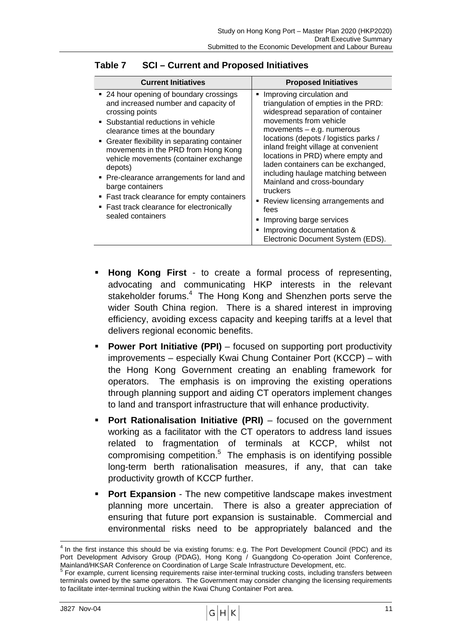| <b>Current Initiatives</b>                                                                                                                                                                                                                                                                                                                                                                                                                                                                                 | <b>Proposed Initiatives</b>                                                                                                                                                                                                                                                                                                                                                                                                                                                                                                                                        |
|------------------------------------------------------------------------------------------------------------------------------------------------------------------------------------------------------------------------------------------------------------------------------------------------------------------------------------------------------------------------------------------------------------------------------------------------------------------------------------------------------------|--------------------------------------------------------------------------------------------------------------------------------------------------------------------------------------------------------------------------------------------------------------------------------------------------------------------------------------------------------------------------------------------------------------------------------------------------------------------------------------------------------------------------------------------------------------------|
| ■ 24 hour opening of boundary crossings<br>and increased number and capacity of<br>crossing points<br>• Substantial reductions in vehicle<br>clearance times at the boundary<br>• Greater flexibility in separating container<br>movements in the PRD from Hong Kong<br>vehicle movements (container exchange<br>depots)<br>• Pre-clearance arrangements for land and<br>barge containers<br>• Fast track clearance for empty containers<br>• Fast track clearance for electronically<br>sealed containers | Improving circulation and<br>٠<br>triangulation of empties in the PRD:<br>widespread separation of container<br>movements from vehicle<br>movements $-$ e.g. numerous<br>locations (depots / logistics parks /<br>inland freight village at convenient<br>locations in PRD) where empty and<br>laden containers can be exchanged,<br>including haulage matching between<br>Mainland and cross-boundary<br>truckers<br>Review licensing arrangements and<br>п<br>fees<br>Improving barge services<br>Improving documentation &<br>Electronic Document System (EDS). |

#### **Table 7 SCI – Current and Proposed Initiatives**

- ! **Hong Kong First** to create a formal process of representing, advocating and communicating HKP interests in the relevant stakeholder forums.<sup>4</sup> The Hong Kong and Shenzhen ports serve the wider South China region. There is a shared interest in improving efficiency, avoiding excess capacity and keeping tariffs at a level that delivers regional economic benefits.
- **Power Port Initiative (PPI)** focused on supporting port productivity improvements – especially Kwai Chung Container Port (KCCP) – with the Hong Kong Government creating an enabling framework for operators. The emphasis is on improving the existing operations through planning support and aiding CT operators implement changes to land and transport infrastructure that will enhance productivity.
- **Port Rationalisation Initiative (PRI)** focused on the government working as a facilitator with the CT operators to address land issues related to fragmentation of terminals at KCCP, whilst not compromising competition.<sup>5</sup> The emphasis is on identifying possible long-term berth rationalisation measures, if any, that can take productivity growth of KCCP further.
- **Port Expansion** The new competitive landscape makes investment planning more uncertain. There is also a greater appreciation of ensuring that future port expansion is sustainable. Commercial and environmental risks need to be appropriately balanced and the

 $J827$  Nov-04 11

 $\overline{a}$ 

 $<sup>4</sup>$  In the first instance this should be via existing forums: e.g. The Port Development Council (PDC) and its</sup> Port Development Advisory Group (PDAG), Hong Kong / Guangdong Co-operation Joint Conference, Mainland/HKSAR Conference on Coordination of Large Scale Infrastructure Development, etc. 5

<sup>&</sup>lt;sup>5</sup> For example, current licensing requirements raise inter-terminal trucking costs, including transfers between terminals owned by the same operators. The Government may consider changing the licensing requirements to facilitate inter-terminal trucking within the Kwai Chung Container Port area.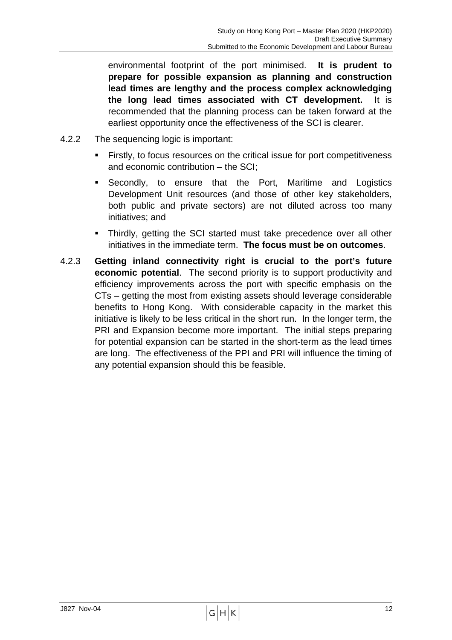environmental footprint of the port minimised. **It is prudent to prepare for possible expansion as planning and construction lead times are lengthy and the process complex acknowledging the long lead times associated with CT development.** It is recommended that the planning process can be taken forward at the earliest opportunity once the effectiveness of the SCI is clearer.

- 4.2.2 The sequencing logic is important:
	- ! Firstly, to focus resources on the critical issue for port competitiveness and economic contribution – the SCI;
	- **E** Secondly, to ensure that the Port, Maritime and Logistics Development Unit resources (and those of other key stakeholders, both public and private sectors) are not diluted across too many initiatives; and
	- Thirdly, getting the SCI started must take precedence over all other initiatives in the immediate term. **The focus must be on outcomes**.
- 4.2.3 **Getting inland connectivity right is crucial to the port's future economic potential**. The second priority is to support productivity and efficiency improvements across the port with specific emphasis on the CTs – getting the most from existing assets should leverage considerable benefits to Hong Kong. With considerable capacity in the market this initiative is likely to be less critical in the short run. In the longer term, the PRI and Expansion become more important. The initial steps preparing for potential expansion can be started in the short-term as the lead times are long. The effectiveness of the PPI and PRI will influence the timing of any potential expansion should this be feasible.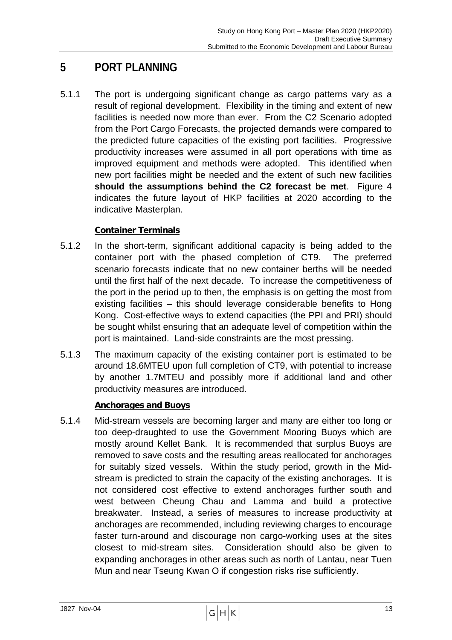# **5 PORT PLANNING**

5.1.1 The port is undergoing significant change as cargo patterns vary as a result of regional development. Flexibility in the timing and extent of new facilities is needed now more than ever. From the C2 Scenario adopted from the Port Cargo Forecasts, the projected demands were compared to the predicted future capacities of the existing port facilities. Progressive productivity increases were assumed in all port operations with time as improved equipment and methods were adopted. This identified when new port facilities might be needed and the extent of such new facilities **should the assumptions behind the C2 forecast be met**. Figure 4 indicates the future layout of HKP facilities at 2020 according to the indicative Masterplan.

### **Container Terminals**

- 5.1.2 In the short-term, significant additional capacity is being added to the container port with the phased completion of CT9. The preferred scenario forecasts indicate that no new container berths will be needed until the first half of the next decade. To increase the competitiveness of the port in the period up to then, the emphasis is on getting the most from existing facilities – this should leverage considerable benefits to Hong Kong. Cost-effective ways to extend capacities (the PPI and PRI) should be sought whilst ensuring that an adequate level of competition within the port is maintained. Land-side constraints are the most pressing.
- 5.1.3 The maximum capacity of the existing container port is estimated to be around 18.6MTEU upon full completion of CT9, with potential to increase by another 1.7MTEU and possibly more if additional land and other productivity measures are introduced.

#### **Anchorages and Buoys**

5.1.4 Mid-stream vessels are becoming larger and many are either too long or too deep-draughted to use the Government Mooring Buoys which are mostly around Kellet Bank. It is recommended that surplus Buoys are removed to save costs and the resulting areas reallocated for anchorages for suitably sized vessels. Within the study period, growth in the Midstream is predicted to strain the capacity of the existing anchorages. It is not considered cost effective to extend anchorages further south and west between Cheung Chau and Lamma and build a protective breakwater. Instead, a series of measures to increase productivity at anchorages are recommended, including reviewing charges to encourage faster turn-around and discourage non cargo-working uses at the sites closest to mid-stream sites. Consideration should also be given to expanding anchorages in other areas such as north of Lantau, near Tuen Mun and near Tseung Kwan O if congestion risks rise sufficiently.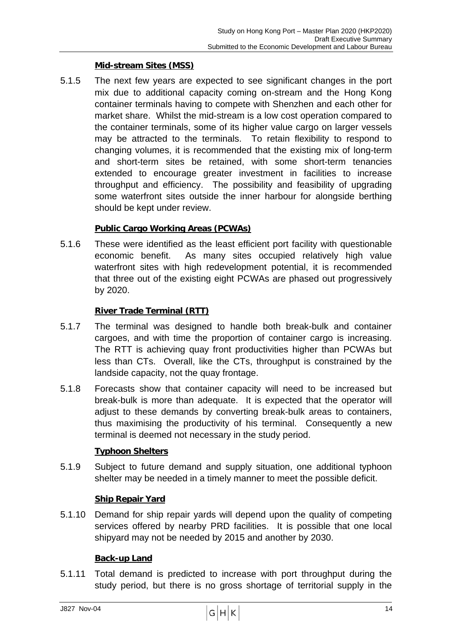#### **Mid-stream Sites (MSS)**

5.1.5 The next few years are expected to see significant changes in the port mix due to additional capacity coming on-stream and the Hong Kong container terminals having to compete with Shenzhen and each other for market share. Whilst the mid-stream is a low cost operation compared to the container terminals, some of its higher value cargo on larger vessels may be attracted to the terminals. To retain flexibility to respond to changing volumes, it is recommended that the existing mix of long-term and short-term sites be retained, with some short-term tenancies extended to encourage greater investment in facilities to increase throughput and efficiency. The possibility and feasibility of upgrading some waterfront sites outside the inner harbour for alongside berthing should be kept under review.

#### **Public Cargo Working Areas (PCWAs)**

5.1.6 These were identified as the least efficient port facility with questionable economic benefit. As many sites occupied relatively high value waterfront sites with high redevelopment potential, it is recommended that three out of the existing eight PCWAs are phased out progressively by 2020.

#### **River Trade Terminal (RTT)**

- 5.1.7 The terminal was designed to handle both break-bulk and container cargoes, and with time the proportion of container cargo is increasing. The RTT is achieving quay front productivities higher than PCWAs but less than CTs. Overall, like the CTs, throughput is constrained by the landside capacity, not the quay frontage.
- 5.1.8 Forecasts show that container capacity will need to be increased but break-bulk is more than adequate. It is expected that the operator will adjust to these demands by converting break-bulk areas to containers, thus maximising the productivity of his terminal. Consequently a new terminal is deemed not necessary in the study period.

#### **Typhoon Shelters**

5.1.9 Subject to future demand and supply situation, one additional typhoon shelter may be needed in a timely manner to meet the possible deficit.

#### **Ship Repair Yard**

5.1.10 Demand for ship repair yards will depend upon the quality of competing services offered by nearby PRD facilities. It is possible that one local shipyard may not be needed by 2015 and another by 2030.

#### **Back-up Land**

5.1.11 Total demand is predicted to increase with port throughput during the study period, but there is no gross shortage of territorial supply in the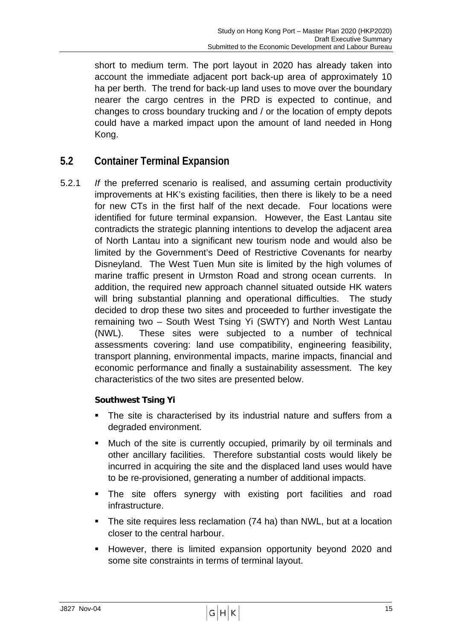short to medium term. The port layout in 2020 has already taken into account the immediate adjacent port back-up area of approximately 10 ha per berth. The trend for back-up land uses to move over the boundary nearer the cargo centres in the PRD is expected to continue, and changes to cross boundary trucking and / or the location of empty depots could have a marked impact upon the amount of land needed in Hong Kong.

### **5.2 Container Terminal Expansion**

5.2.1 *If* the preferred scenario is realised, and assuming certain productivity improvements at HK's existing facilities, then there is likely to be a need for new CTs in the first half of the next decade. Four locations were identified for future terminal expansion. However, the East Lantau site contradicts the strategic planning intentions to develop the adjacent area of North Lantau into a significant new tourism node and would also be limited by the Government's Deed of Restrictive Covenants for nearby Disneyland. The West Tuen Mun site is limited by the high volumes of marine traffic present in Urmston Road and strong ocean currents. In addition, the required new approach channel situated outside HK waters will bring substantial planning and operational difficulties. The study decided to drop these two sites and proceeded to further investigate the remaining two – South West Tsing Yi (SWTY) and North West Lantau (NWL). These sites were subjected to a number of technical assessments covering: land use compatibility, engineering feasibility, transport planning, environmental impacts, marine impacts, financial and economic performance and finally a sustainability assessment. The key characteristics of the two sites are presented below.

#### **Southwest Tsing Yi**

- The site is characterised by its industrial nature and suffers from a degraded environment.
- ! Much of the site is currently occupied, primarily by oil terminals and other ancillary facilities. Therefore substantial costs would likely be incurred in acquiring the site and the displaced land uses would have to be re-provisioned, generating a number of additional impacts.
- **The site offers synergy with existing port facilities and road** infrastructure.
- The site requires less reclamation (74 ha) than NWL, but at a location closer to the central harbour.
- ! However, there is limited expansion opportunity beyond 2020 and some site constraints in terms of terminal layout.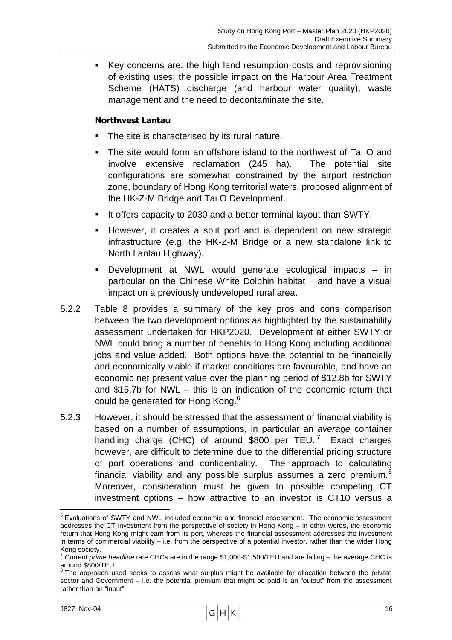! Key concerns are: the high land resumption costs and reprovisioning of existing uses; the possible impact on the Harbour Area Treatment Scheme (HATS) discharge (and harbour water quality); waste management and the need to decontaminate the site.

#### **Northwest Lantau**

- The site is characterised by its rural nature.
- ! The site would form an offshore island to the northwest of Tai O and involve extensive reclamation (245 ha). The potential site configurations are somewhat constrained by the airport restriction zone, boundary of Hong Kong territorial waters, proposed alignment of the HK-Z-M Bridge and Tai O Development.
- It offers capacity to 2030 and a better terminal layout than SWTY.
- However, it creates a split port and is dependent on new strategic infrastructure (e.g. the HK-Z-M Bridge or a new standalone link to North Lantau Highway).
- Development at NWL would generate ecological impacts in particular on the Chinese White Dolphin habitat – and have a visual impact on a previously undeveloped rural area.
- 5.2.2 Table 8 provides a summary of the key pros and cons comparison between the two development options as highlighted by the sustainability assessment undertaken for HKP2020. Development at either SWTY or NWL could bring a number of benefits to Hong Kong including additional jobs and value added. Both options have the potential to be financially and economically viable if market conditions are favourable, and have an economic net present value over the planning period of \$12.8b for SWTY and \$15.7b for NWL – this is an indication of the economic return that could be generated for Hong Kong.<sup>6</sup>
- 5.2.3 However, it should be stressed that the assessment of financial viability is based on a number of assumptions, in particular an *average* container handling charge (CHC) of around \$800 per TEU.<sup>7</sup> Exact charges however, are difficult to determine due to the differential pricing structure of port operations and confidentiality. The approach to calculating financial viability and any possible surplus assumes a zero premium.<sup>8</sup> Moreover, consideration must be given to possible competing CT investment options – how attractive to an investor is CT10 versus a

 $J827$  Nov-04 16

 $\overline{a}$ 

<sup>&</sup>lt;sup>6</sup> Evaluations of SWTY and NWL included economic and financial assessment. The economic assessment addresses the CT investment from the perspective of society in Hong Kong – in other words, the economic return that Hong Kong might earn from its port, whereas the financial assessment addresses the investment in terms of commercial viability – i.e. from the perspective of a potential investor, rather than the wider Hong Kong society.<br><sup>7</sup> Current *prime headline* rate CHCs are in the range \$1,000-\$1,500/TEU and are falling – the average CHC is

around \$800/TEU.

 $8$  The approach used seeks to assess what surplus might be available for allocation between the private sector and Government – i.e. the potential premium that might be paid is an "output" from the assessment rather than an "input".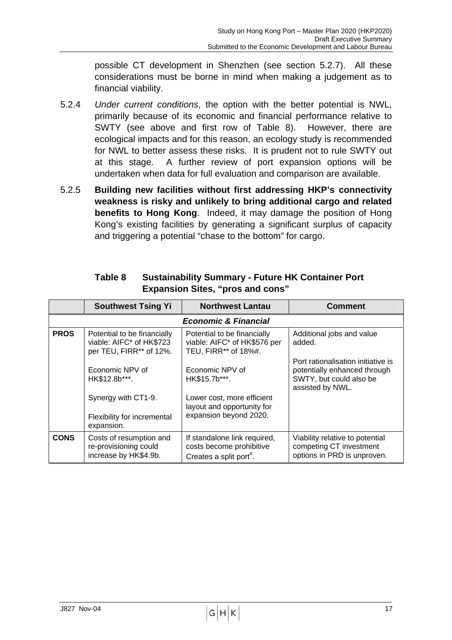possible CT development in Shenzhen (see section 5.2.7). All these considerations must be borne in mind when making a judgement as to financial viability.

- 5.2.4 *Under current conditions*, the option with the better potential is NWL, primarily because of its economic and financial performance relative to SWTY (see above and first row of Table 8). However, there are ecological impacts and for this reason, an ecology study is recommended for NWL to better assess these risks. It is prudent not to rule SWTY out at this stage. A further review of port expansion options will be undertaken when data for full evaluation and comparison are available.
- 5.2.5 **Building new facilities without first addressing HKP's connectivity weakness is risky and unlikely to bring additional cargo and related benefits to Hong Kong**. Indeed, it may damage the position of Hong Kong's existing facilities by generating a significant surplus of capacity and triggering a potential "chase to the bottom" for cargo.

|                                 | <b>Southwest Tsing Yi</b>                                                          | <b>Northwest Lantau</b>                                                                         | <b>Comment</b>                                                                                                    |  |  |  |  |  |
|---------------------------------|------------------------------------------------------------------------------------|-------------------------------------------------------------------------------------------------|-------------------------------------------------------------------------------------------------------------------|--|--|--|--|--|
| <b>Economic &amp; Financial</b> |                                                                                    |                                                                                                 |                                                                                                                   |  |  |  |  |  |
| <b>PROS</b>                     | Potential to be financially<br>viable: AIFC* of HK\$723<br>per TEU, FIRR** of 12%. | Potential to be financially<br>viable: AIFC* of HK\$576 per<br>TEU, FIRR** of 18%#.             | Additional jobs and value<br>added.                                                                               |  |  |  |  |  |
|                                 | Economic NPV of<br>HK\$12.8b***.                                                   | Economic NPV of<br>HK\$15.7b***.                                                                | Port rationalisation initiative is<br>potentially enhanced through<br>SWTY, but could also be<br>assisted by NWL. |  |  |  |  |  |
|                                 | Synergy with CT1-9.<br>Flexibility for incremental<br>expansion.                   | Lower cost, more efficient<br>layout and opportunity for<br>expansion beyond 2020.              |                                                                                                                   |  |  |  |  |  |
| <b>CONS</b>                     | Costs of resumption and<br>re-provisioning could<br>increase by HK\$4.9b.          | If standalone link required,<br>costs become prohibitive<br>Creates a split port <sup>#</sup> . | Viability relative to potential<br>competing CT investment<br>options in PRD is unproven.                         |  |  |  |  |  |

#### **Table 8 Sustainability Summary - Future HK Container Port Expansion Sites, "pros and cons"**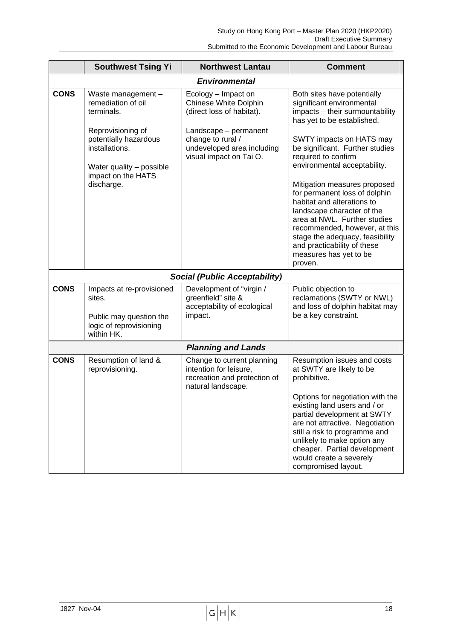|             | <b>Southwest Tsing Yi</b>                                                                                                                                                              | <b>Northwest Lantau</b>                                                                                                                                                                 | <b>Comment</b>                                                                                                                                                                                                                                                                                                                                                                                                                                |  |  |
|-------------|----------------------------------------------------------------------------------------------------------------------------------------------------------------------------------------|-----------------------------------------------------------------------------------------------------------------------------------------------------------------------------------------|-----------------------------------------------------------------------------------------------------------------------------------------------------------------------------------------------------------------------------------------------------------------------------------------------------------------------------------------------------------------------------------------------------------------------------------------------|--|--|
|             |                                                                                                                                                                                        | <b>Environmental</b>                                                                                                                                                                    |                                                                                                                                                                                                                                                                                                                                                                                                                                               |  |  |
| <b>CONS</b> | Waste management -<br>remediation of oil<br>terminals.<br>Reprovisioning of<br>potentially hazardous<br>installations.<br>Water quality - possible<br>impact on the HATS<br>discharge. | Ecology - Impact on<br><b>Chinese White Dolphin</b><br>(direct loss of habitat).<br>Landscape - permanent<br>change to rural /<br>undeveloped area including<br>visual impact on Tai O. | Both sites have potentially<br>significant environmental<br>impacts - their surmountability<br>has yet to be established.<br>SWTY impacts on HATS may<br>be significant. Further studies<br>required to confirm<br>environmental acceptability.<br>Mitigation measures proposed<br>for permanent loss of dolphin<br>habitat and alterations to<br>landscape character of the<br>area at NWL. Further studies<br>recommended, however, at this |  |  |
|             |                                                                                                                                                                                        |                                                                                                                                                                                         | stage the adequacy, feasibility<br>and practicability of these<br>measures has yet to be<br>proven.                                                                                                                                                                                                                                                                                                                                           |  |  |
|             |                                                                                                                                                                                        | <b>Social (Public Acceptability)</b>                                                                                                                                                    |                                                                                                                                                                                                                                                                                                                                                                                                                                               |  |  |
| <b>CONS</b> | Impacts at re-provisioned<br>sites.<br>Public may question the<br>logic of reprovisioning<br>within HK.                                                                                | Development of "virgin /<br>greenfield" site &<br>acceptability of ecological<br>impact.                                                                                                | Public objection to<br>reclamations (SWTY or NWL)<br>and loss of dolphin habitat may<br>be a key constraint.                                                                                                                                                                                                                                                                                                                                  |  |  |
|             |                                                                                                                                                                                        | <b>Planning and Lands</b>                                                                                                                                                               |                                                                                                                                                                                                                                                                                                                                                                                                                                               |  |  |
| <b>CONS</b> | Resumption of land &<br>reprovisioning.                                                                                                                                                | Change to current planning<br>intention for leisure,<br>recreation and protection of<br>natural landscape.                                                                              | Resumption issues and costs<br>at SWTY are likely to be<br>prohibitive.<br>Options for negotiation with the<br>existing land users and / or<br>partial development at SWTY<br>are not attractive. Negotiation<br>still a risk to programme and<br>unlikely to make option any<br>cheaper. Partial development<br>would create a severely<br>compromised layout.                                                                               |  |  |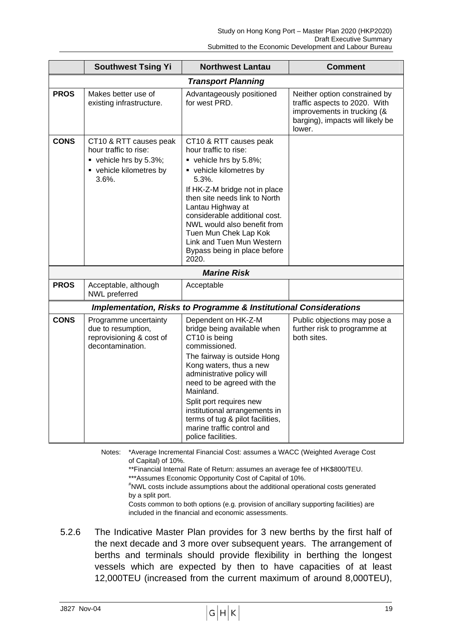|             | <b>Southwest Tsing Yi</b>                                                                                   | <b>Northwest Lantau</b>                                                                                                                                                                                                                                                                                                                                                     | <b>Comment</b>                                                                                                                              |
|-------------|-------------------------------------------------------------------------------------------------------------|-----------------------------------------------------------------------------------------------------------------------------------------------------------------------------------------------------------------------------------------------------------------------------------------------------------------------------------------------------------------------------|---------------------------------------------------------------------------------------------------------------------------------------------|
|             |                                                                                                             | <b>Transport Planning</b>                                                                                                                                                                                                                                                                                                                                                   |                                                                                                                                             |
| <b>PROS</b> | Makes better use of<br>existing infrastructure.                                                             | Advantageously positioned<br>for west PRD.                                                                                                                                                                                                                                                                                                                                  | Neither option constrained by<br>traffic aspects to 2020. With<br>improvements in trucking (&<br>barging), impacts will likely be<br>lower. |
| <b>CONS</b> | CT10 & RTT causes peak<br>hour traffic to rise:<br>vehicle hrs by 5.3%;<br>• vehicle kilometres by<br>3.6%. | CT10 & RTT causes peak<br>hour traffic to rise:<br>vehicle hrs by 5.8%;<br>• vehicle kilometres by<br>5.3%.<br>If HK-Z-M bridge not in place<br>then site needs link to North<br>Lantau Highway at<br>considerable additional cost.<br>NWL would also benefit from<br>Tuen Mun Chek Lap Kok<br>Link and Tuen Mun Western<br>Bypass being in place before<br>2020.           |                                                                                                                                             |
|             |                                                                                                             | <b>Marine Risk</b>                                                                                                                                                                                                                                                                                                                                                          |                                                                                                                                             |
| <b>PROS</b> | Acceptable, although<br>NWL preferred                                                                       | Acceptable                                                                                                                                                                                                                                                                                                                                                                  |                                                                                                                                             |
|             |                                                                                                             | <b>Implementation, Risks to Programme &amp; Institutional Considerations</b>                                                                                                                                                                                                                                                                                                |                                                                                                                                             |
| <b>CONS</b> | Programme uncertainty<br>due to resumption,<br>reprovisioning & cost of<br>decontamination.                 | Dependent on HK-Z-M<br>bridge being available when<br>CT10 is being<br>commissioned.<br>The fairway is outside Hong<br>Kong waters, thus a new<br>administrative policy will<br>need to be agreed with the<br>Mainland.<br>Split port requires new<br>institutional arrangements in<br>terms of tug & pilot facilities,<br>marine traffic control and<br>police facilities. | Public objections may pose a<br>further risk to programme at<br>both sites.                                                                 |

Notes: \*Average Incremental Financial Cost: assumes a WACC (Weighted Average Cost of Capital) of 10%.

\*\*Financial Internal Rate of Return: assumes an average fee of HK\$800/TEU.

\*\*\*Assumes Economic Opportunity Cost of Capital of 10%.

# NWL costs include assumptions about the additional operational costs generated by a split port.

Costs common to both options (e.g. provision of ancillary supporting facilities) are included in the financial and economic assessments.

5.2.6 The Indicative Master Plan provides for 3 new berths by the first half of the next decade and 3 more over subsequent years. The arrangement of berths and terminals should provide flexibility in berthing the longest vessels which are expected by then to have capacities of at least 12,000TEU (increased from the current maximum of around 8,000TEU),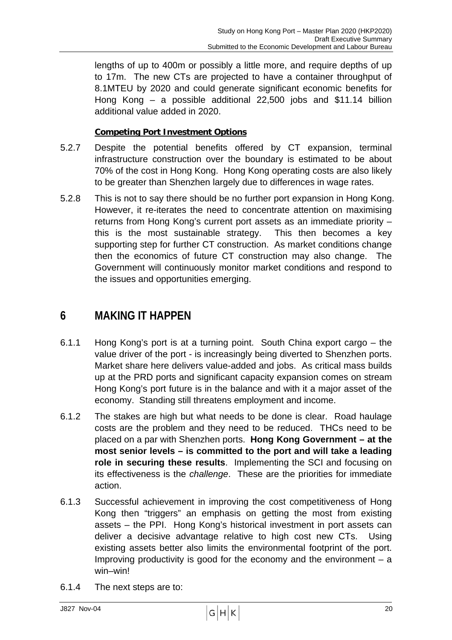lengths of up to 400m or possibly a little more, and require depths of up to 17m. The new CTs are projected to have a container throughput of 8.1MTEU by 2020 and could generate significant economic benefits for Hong Kong – a possible additional 22,500 jobs and \$11.14 billion additional value added in 2020.

#### **Competing Port Investment Options**

- 5.2.7 Despite the potential benefits offered by CT expansion, terminal infrastructure construction over the boundary is estimated to be about 70% of the cost in Hong Kong. Hong Kong operating costs are also likely to be greater than Shenzhen largely due to differences in wage rates.
- 5.2.8 This is not to say there should be no further port expansion in Hong Kong. However, it re-iterates the need to concentrate attention on maximising returns from Hong Kong's current port assets as an immediate priority – this is the most sustainable strategy. This then becomes a key supporting step for further CT construction. As market conditions change then the economics of future CT construction may also change. The Government will continuously monitor market conditions and respond to the issues and opportunities emerging.

# **6 MAKING IT HAPPEN**

- 6.1.1 Hong Kong's port is at a turning point. South China export cargo the value driver of the port - is increasingly being diverted to Shenzhen ports. Market share here delivers value-added and jobs. As critical mass builds up at the PRD ports and significant capacity expansion comes on stream Hong Kong's port future is in the balance and with it a major asset of the economy. Standing still threatens employment and income.
- 6.1.2 The stakes are high but what needs to be done is clear. Road haulage costs are the problem and they need to be reduced. THCs need to be placed on a par with Shenzhen ports. **Hong Kong Government – at the most senior levels – is committed to the port and will take a leading role in securing these results**. Implementing the SCI and focusing on its effectiveness is the *challenge*. These are the priorities for immediate action.
- 6.1.3 Successful achievement in improving the cost competitiveness of Hong Kong then "triggers" an emphasis on getting the most from existing assets – the PPI. Hong Kong's historical investment in port assets can deliver a decisive advantage relative to high cost new CTs. Using existing assets better also limits the environmental footprint of the port. Improving productivity is good for the economy and the environment  $-$  a win–win!
- 6.1.4 The next steps are to: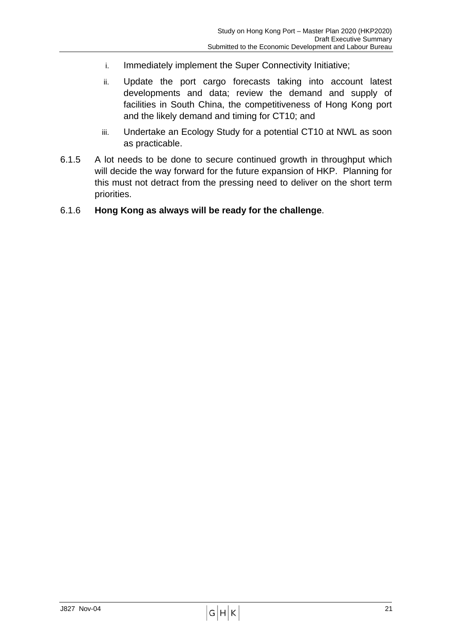- i. Immediately implement the Super Connectivity Initiative;
- ii. Update the port cargo forecasts taking into account latest developments and data; review the demand and supply of facilities in South China, the competitiveness of Hong Kong port and the likely demand and timing for CT10; and
- iii. Undertake an Ecology Study for a potential CT10 at NWL as soon as practicable.
- 6.1.5 A lot needs to be done to secure continued growth in throughput which will decide the way forward for the future expansion of HKP. Planning for this must not detract from the pressing need to deliver on the short term priorities.

#### 6.1.6 **Hong Kong as always will be ready for the challenge**.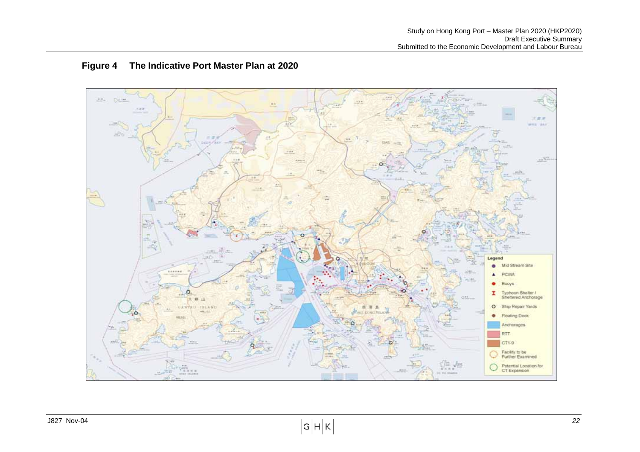